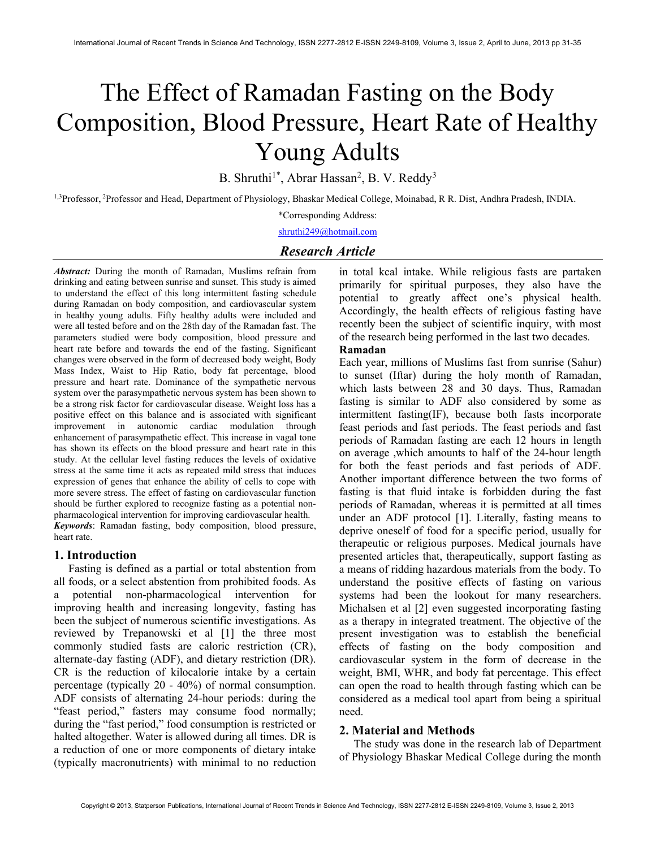# The Effect of Ramadan Fasting on the Body Composition, Blood Pressure, Heart Rate of Healthy Young Adults

B. Shruthi<sup>1\*</sup>, Abrar Hassan<sup>2</sup>, B. V. Reddy<sup>3</sup>

<sup>1,3</sup>Professor, <sup>2</sup>Professor and Head, Department of Physiology, Bhaskar Medical College, Moinabad, R R. Dist, Andhra Pradesh, INDIA.

\*Corresponding Address:

shruthi249@hotmail.com

# Research Article

Abstract: During the month of Ramadan, Muslims refrain from drinking and eating between sunrise and sunset. This study is aimed to understand the effect of this long intermittent fasting schedule during Ramadan on body composition, and cardiovascular system in healthy young adults. Fifty healthy adults were included and were all tested before and on the 28th day of the Ramadan fast. The parameters studied were body composition, blood pressure and heart rate before and towards the end of the fasting. Significant changes were observed in the form of decreased body weight, Body Mass Index, Waist to Hip Ratio, body fat percentage, blood pressure and heart rate. Dominance of the sympathetic nervous system over the parasympathetic nervous system has been shown to be a strong risk factor for cardiovascular disease. Weight loss has a positive effect on this balance and is associated with significant improvement in autonomic cardiac modulation through enhancement of parasympathetic effect. This increase in vagal tone has shown its effects on the blood pressure and heart rate in this study. At the cellular level fasting reduces the levels of oxidative stress at the same time it acts as repeated mild stress that induces expression of genes that enhance the ability of cells to cope with more severe stress. The effect of fasting on cardiovascular function should be further explored to recognize fasting as a potential nonpharmacological intervention for improving cardiovascular health. Keywords: Ramadan fasting, body composition, blood pressure, heart rate.

### 1. Introduction

Fasting is defined as a partial or total abstention from all foods, or a select abstention from prohibited foods. As a potential non-pharmacological intervention for improving health and increasing longevity, fasting has been the subject of numerous scientific investigations. As reviewed by Trepanowski et al [1] the three most commonly studied fasts are caloric restriction (CR), alternate-day fasting (ADF), and dietary restriction (DR). CR is the reduction of kilocalorie intake by a certain percentage (typically 20 - 40%) of normal consumption. ADF consists of alternating 24-hour periods: during the "feast period," fasters may consume food normally; during the "fast period," food consumption is restricted or halted altogether. Water is allowed during all times. DR is a reduction of one or more components of dietary intake (typically macronutrients) with minimal to no reduction in total kcal intake. While religious fasts are partaken primarily for spiritual purposes, they also have the potential to greatly affect one's physical health. Accordingly, the health effects of religious fasting have recently been the subject of scientific inquiry, with most of the research being performed in the last two decades.

#### Ramadan

Each year, millions of Muslims fast from sunrise (Sahur) to sunset (Iftar) during the holy month of Ramadan, which lasts between 28 and 30 days. Thus, Ramadan fasting is similar to ADF also considered by some as intermittent fasting(IF), because both fasts incorporate feast periods and fast periods. The feast periods and fast periods of Ramadan fasting are each 12 hours in length on average ,which amounts to half of the 24-hour length for both the feast periods and fast periods of ADF. Another important difference between the two forms of fasting is that fluid intake is forbidden during the fast periods of Ramadan, whereas it is permitted at all times under an ADF protocol [1]. Literally, fasting means to deprive oneself of food for a specific period, usually for therapeutic or religious purposes. Medical journals have presented articles that, therapeutically, support fasting as a means of ridding hazardous materials from the body. To understand the positive effects of fasting on various systems had been the lookout for many researchers. Michalsen et al [2] even suggested incorporating fasting as a therapy in integrated treatment. The objective of the present investigation was to establish the beneficial effects of fasting on the body composition and cardiovascular system in the form of decrease in the weight, BMI, WHR, and body fat percentage. This effect can open the road to health through fasting which can be considered as a medical tool apart from being a spiritual need.

## 2. Material and Methods

The study was done in the research lab of Department of Physiology Bhaskar Medical College during the month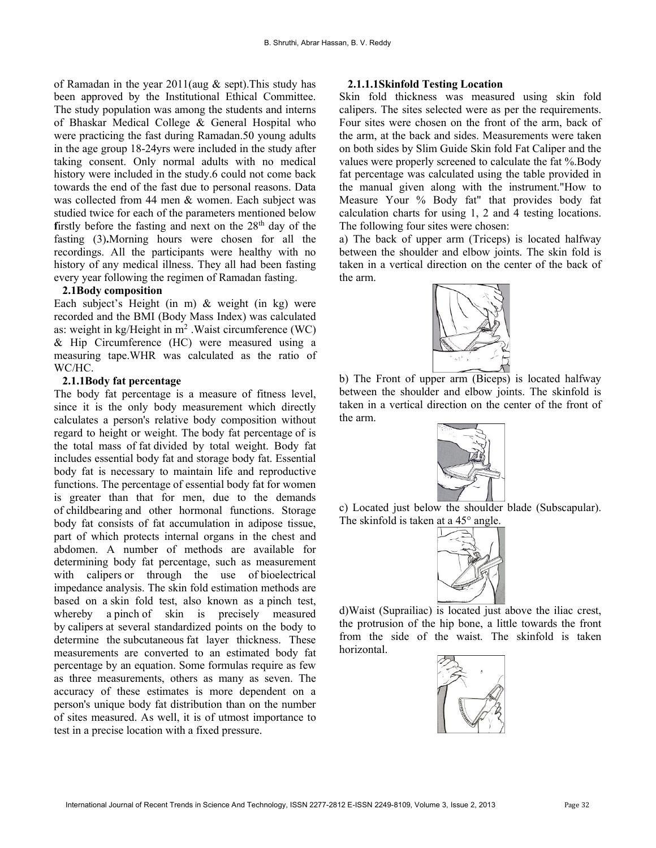of Ramadan in the year 2011(aug & sept).This study has been approved by the Institutional Ethical Committee. The study population was among the students and interns of Bhaskar Medical College & General Hospital who were practicing the fast during Ramadan.50 young adults in the age group 18-24yrs were included in the study after taking consent. Only normal adults with no medical history were included in the study.6 could not come back towards the end of the fast due to personal reasons. Data was collected from 44 men & women. Each subject was studied twice for each of the parameters mentioned below firstly before the fasting and next on the  $28<sup>th</sup>$  day of the fasting (3).Morning hours were chosen for all the recordings. All the participants were healthy with no history of any medical illness. They all had been fasting every year following the regimen of Ramadan fasting.

### 2.1Body composition

Each subject's Height (in m) & weight (in kg) were recorded and the BMI (Body Mass Index) was calculated as: weight in  $kg/Height$  in  $m^2$ . Waist circumference (WC) & Hip Circumference (HC) were measured using a measuring tape.WHR was calculated as the ratio of WC/HC.

#### 2.1.1Body fat percentage

The body fat percentage is a measure of fitness level, since it is the only body measurement which directly calculates a person's relative body composition without regard to height or weight. The body fat percentage of is the total mass of fat divided by total weight. Body fat includes essential body fat and storage body fat. Essential body fat is necessary to maintain life and reproductive functions. The percentage of essential body fat for women is greater than that for men, due to the demands of childbearing and other hormonal functions. Storage body fat consists of fat accumulation in adipose tissue, part of which protects internal organs in the chest and abdomen. A number of methods are available for determining body fat percentage, such as measurement with calipers or through the use of bioelectrical impedance analysis. The skin fold estimation methods are based on a skin fold test, also known as a pinch test, whereby a pinch of skin is precisely measured by calipers at several standardized points on the body to determine the subcutaneous fat layer thickness. These measurements are converted to an estimated body fat percentage by an equation. Some formulas require as few as three measurements, others as many as seven. The accuracy of these estimates is more dependent on a person's unique body fat distribution than on the number of sites measured. As well, it is of utmost importance to test in a precise location with a fixed pressure.

## 2.1.1.1Skinfold Testing Location

Skin fold thickness was measured using skin fold calipers. The sites selected were as per the requirements. Four sites were chosen on the front of the arm, back of the arm, at the back and sides. Measurements were taken on both sides by Slim Guide Skin fold Fat Caliper and the values were properly screened to calculate the fat %.Body fat percentage was calculated using the table provided in the manual given along with the instrument."How to Measure Your % Body fat" that provides body fat calculation charts for using 1, 2 and 4 testing locations. The following four sites were chosen:

a) The back of upper arm (Triceps) is located halfway between the shoulder and elbow joints. The skin fold is taken in a vertical direction on the center of the back of the arm.



b) The Front of upper arm (Biceps) is located halfway between the shoulder and elbow joints. The skinfold is taken in a vertical direction on the center of the front of the arm.



c) Located just below the shoulder blade (Subscapular). The skinfold is taken at a 45<sup>°</sup> angle.



d)Waist (Suprailiac) is located just above the iliac crest, the protrusion of the hip bone, a little towards the front from the side of the waist. The skinfold is taken horizontal.

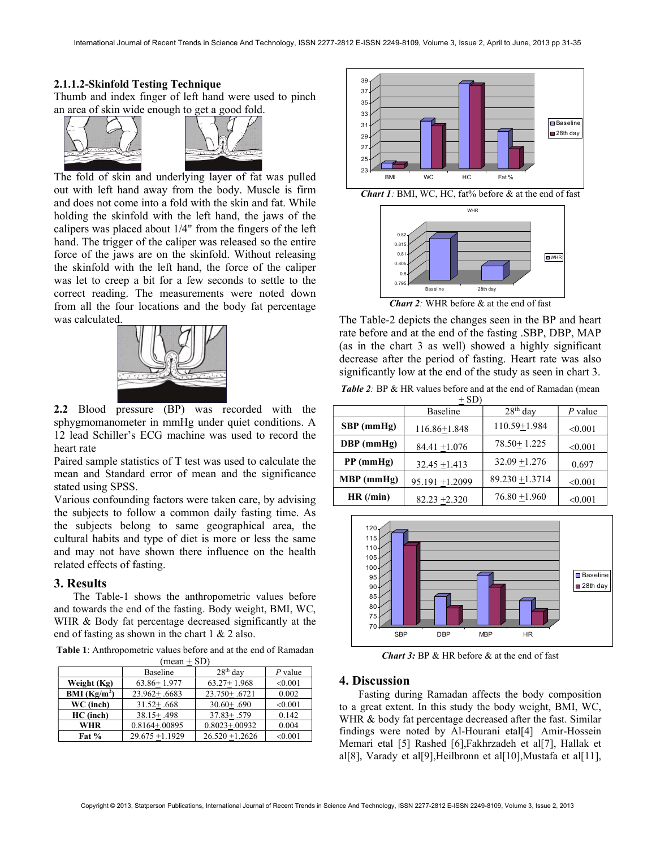#### 2.1.1.2-Skinfold Testing Technique

Thumb and index finger of left hand were used to pinch an area of skin wide enough to get a good fold.





The fold of skin and underlying layer of fat was pulled out with left hand away from the body. Muscle is firm and does not come into a fold with the skin and fat. While holding the skinfold with the left hand, the jaws of the calipers was placed about 1/4" from the fingers of the left hand. The trigger of the caliper was released so the entire force of the jaws are on the skinfold. Without releasing the skinfold with the left hand, the force of the caliper was let to creep a bit for a few seconds to settle to the correct reading. The measurements were noted down from all the four locations and the body fat percentage was calculated.



2.2 Blood pressure (BP) was recorded with the sphygmomanometer in mmHg under quiet conditions. A 12 lead Schiller's ECG machine was used to record the heart rate

Paired sample statistics of T test was used to calculate the mean and Standard error of mean and the significance stated using SPSS.

Various confounding factors were taken care, by advising the subjects to follow a common daily fasting time. As the subjects belong to same geographical area, the cultural habits and type of diet is more or less the same and may not have shown there influence on the health related effects of fasting.

## 3. Results

The Table-1 shows the anthropometric values before and towards the end of the fasting. Body weight, BMI, WC, WHR & Body fat percentage decreased significantly at the end of fasting as shown in the chart 1 & 2 also.

Table 1: Anthropometric values before and at the end of Ramadan  $(mean + SD)$ 

| $\cdots$      |                   |                   |           |  |
|---------------|-------------------|-------------------|-----------|--|
|               | Baseline          | $28th$ day        | $P$ value |  |
| Weight (Kg)   | $63.86 + 1.977$   | $63.27 + 1.968$   | < 0.001   |  |
| BMI $(Kg/m2)$ | $23.962 + .6683$  | $23.750 + .6721$  | 0.002     |  |
| WC (inch)     | $31.52 + .668$    | $30.60 + .690$    | < 0.001   |  |
| HC (inch)     | $38.15 + .498$    | $37.83 + .579$    | 0.142     |  |
| <b>WHR</b>    | $0.8164 + 0.0895$ | $0.8023 + 0.0932$ | 0.004     |  |
| Fat $%$       | $29.675 + 1.1929$ | $26.520 + 1.2626$ | < 0.001   |  |





Chart 2: WHR before & at the end of fast

The Table-2 depicts the changes seen in the BP and heart rate before and at the end of the fasting .SBP, DBP, MAP (as in the chart 3 as well) showed a highly significant decrease after the period of fasting. Heart rate was also significantly low at the end of the study as seen in chart 3.

Table 2: BP & HR values before and at the end of Ramadan (mean

| $+ SD$       |                    |                   |           |  |
|--------------|--------------------|-------------------|-----------|--|
|              | Baseline           | $28th$ day        | $P$ value |  |
| $SBP$ (mmHg) | $116.86 \pm 1.848$ | 110.59+1.984      | < 0.001   |  |
| $DBP$ (mmHg) | 84.41 $\pm$ 1.076  | $78.50 + 1.225$   | < 0.001   |  |
| $PP$ (mmHg)  | $32.45 + 1.413$    | $32.09 + 1.276$   | 0.697     |  |
| MBP (mmHg)   | $95.191 + 1.2099$  | $89.230 + 1.3714$ | < 0.001   |  |
| HR (/min)    | 82.23 $\pm$ 2.320  | $76.80 + 1.960$   | < 0.001   |  |



**Chart 3:** BP & HR before  $\&$  at the end of fast

#### 4. Discussion

Fasting during Ramadan affects the body composition to a great extent. In this study the body weight, BMI, WC, WHR & body fat percentage decreased after the fast. Similar findings were noted by Al-Hourani etal[4] Amir-Hossein Memari etal [5] Rashed [6],Fakhrzadeh et al[7], Hallak et al[8], Varady et al[9],Heilbronn et al[10],Mustafa et al[11],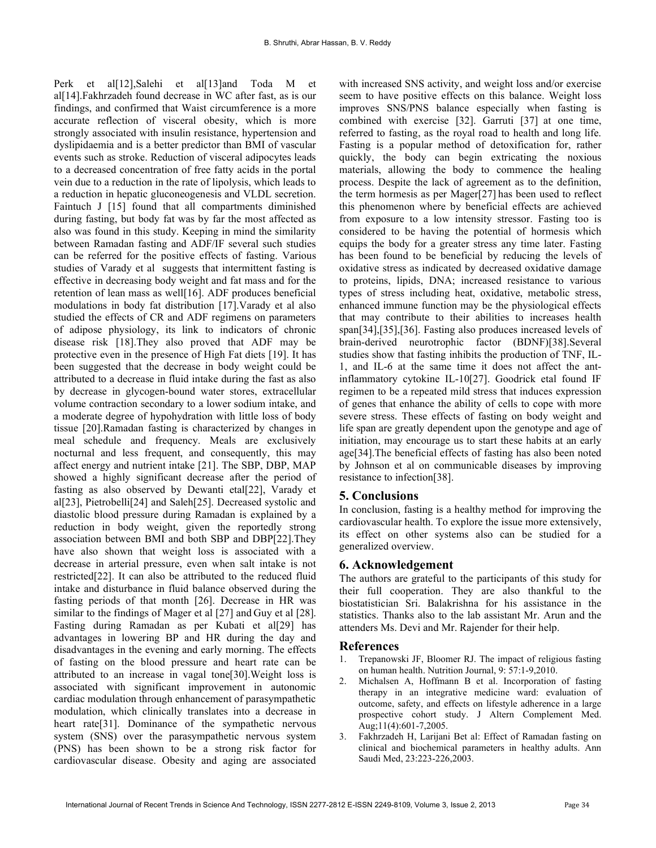Perk et al[12],Salehi et al[13]and Toda M et al<sup>[14]</sup>.Fakhrzadeh found decrease in WC after fast, as is our findings, and confirmed that Waist circumference is a more accurate reflection of visceral obesity, which is more strongly associated with insulin resistance, hypertension and dyslipidaemia and is a better predictor than BMI of vascular events such as stroke. Reduction of visceral adipocytes leads to a decreased concentration of free fatty acids in the portal vein due to a reduction in the rate of lipolysis, which leads to a reduction in hepatic gluconeogenesis and VLDL secretion. Faintuch J [15] found that all compartments diminished during fasting, but body fat was by far the most affected as also was found in this study. Keeping in mind the similarity between Ramadan fasting and ADF/IF several such studies can be referred for the positive effects of fasting. Various studies of Varady et al suggests that intermittent fasting is effective in decreasing body weight and fat mass and for the retention of lean mass as well[16]. ADF produces beneficial modulations in body fat distribution [17].Varady et al also studied the effects of CR and ADF regimens on parameters of adipose physiology, its link to indicators of chronic disease risk [18].They also proved that ADF may be protective even in the presence of High Fat diets [19]. It has been suggested that the decrease in body weight could be attributed to a decrease in fluid intake during the fast as also by decrease in glycogen-bound water stores, extracellular volume contraction secondary to a lower sodium intake, and a moderate degree of hypohydration with little loss of body tissue [20].Ramadan fasting is characterized by changes in meal schedule and frequency. Meals are exclusively nocturnal and less frequent, and consequently, this may affect energy and nutrient intake [21]. The SBP, DBP, MAP showed a highly significant decrease after the period of fasting as also observed by Dewanti etal[22], Varady et al[23], Pietrobelli[24] and Saleh[25]. Decreased systolic and diastolic blood pressure during Ramadan is explained by a reduction in body weight, given the reportedly strong association between BMI and both SBP and DBP[22].They have also shown that weight loss is associated with a decrease in arterial pressure, even when salt intake is not restricted[22]. It can also be attributed to the reduced fluid intake and disturbance in fluid balance observed during the fasting periods of that month [26]. Decrease in HR was similar to the findings of Mager et al [27] and Guy et al [28]. Fasting during Ramadan as per Kubati et al[29] has advantages in lowering BP and HR during the day and disadvantages in the evening and early morning. The effects of fasting on the blood pressure and heart rate can be attributed to an increase in vagal tone[30].Weight loss is associated with significant improvement in autonomic cardiac modulation through enhancement of parasympathetic modulation, which clinically translates into a decrease in heart rate[31]. Dominance of the sympathetic nervous system (SNS) over the parasympathetic nervous system (PNS) has been shown to be a strong risk factor for cardiovascular disease. Obesity and aging are associated

with increased SNS activity, and weight loss and/or exercise seem to have positive effects on this balance. Weight loss improves SNS/PNS balance especially when fasting is combined with exercise [32]. Garruti [37] at one time, referred to fasting, as the royal road to health and long life. Fasting is a popular method of detoxification for, rather quickly, the body can begin extricating the noxious materials, allowing the body to commence the healing process. Despite the lack of agreement as to the definition, the term hormesis as per Mager[27] has been used to reflect this phenomenon where by beneficial effects are achieved from exposure to a low intensity stressor. Fasting too is considered to be having the potential of hormesis which equips the body for a greater stress any time later. Fasting has been found to be beneficial by reducing the levels of oxidative stress as indicated by decreased oxidative damage to proteins, lipids, DNA; increased resistance to various types of stress including heat, oxidative, metabolic stress, enhanced immune function may be the physiological effects that may contribute to their abilities to increases health span[34],[35],[36]. Fasting also produces increased levels of brain-derived neurotrophic factor (BDNF)[38].Several studies show that fasting inhibits the production of TNF, IL-1, and IL-6 at the same time it does not affect the antinflammatory cytokine IL-10[27]. Goodrick etal found IF regimen to be a repeated mild stress that induces expression of genes that enhance the ability of cells to cope with more severe stress. These effects of fasting on body weight and life span are greatly dependent upon the genotype and age of initiation, may encourage us to start these habits at an early age[34].The beneficial effects of fasting has also been noted by Johnson et al on communicable diseases by improving resistance to infection[38].

## 5. Conclusions

In conclusion, fasting is a healthy method for improving the cardiovascular health. To explore the issue more extensively, its effect on other systems also can be studied for a generalized overview.

#### 6. Acknowledgement

The authors are grateful to the participants of this study for their full cooperation. They are also thankful to the biostatistician Sri. Balakrishna for his assistance in the statistics. Thanks also to the lab assistant Mr. Arun and the attenders Ms. Devi and Mr. Rajender for their help.

#### References

- 1. Trepanowski JF, Bloomer RJ. The impact of religious fasting on human health. Nutrition Journal, 9: 57:1-9,2010.
- 2. Michalsen A, Hoffmann B et al. Incorporation of fasting therapy in an integrative medicine ward: evaluation of outcome, safety, and effects on lifestyle adherence in a large prospective cohort study. J Altern Complement Med. Aug;11(4):601-7,2005.
- 3. Fakhrzadeh H, Larijani Bet al: Effect of Ramadan fasting on clinical and biochemical parameters in healthy adults. Ann Saudi Med, 23:223-226,2003.